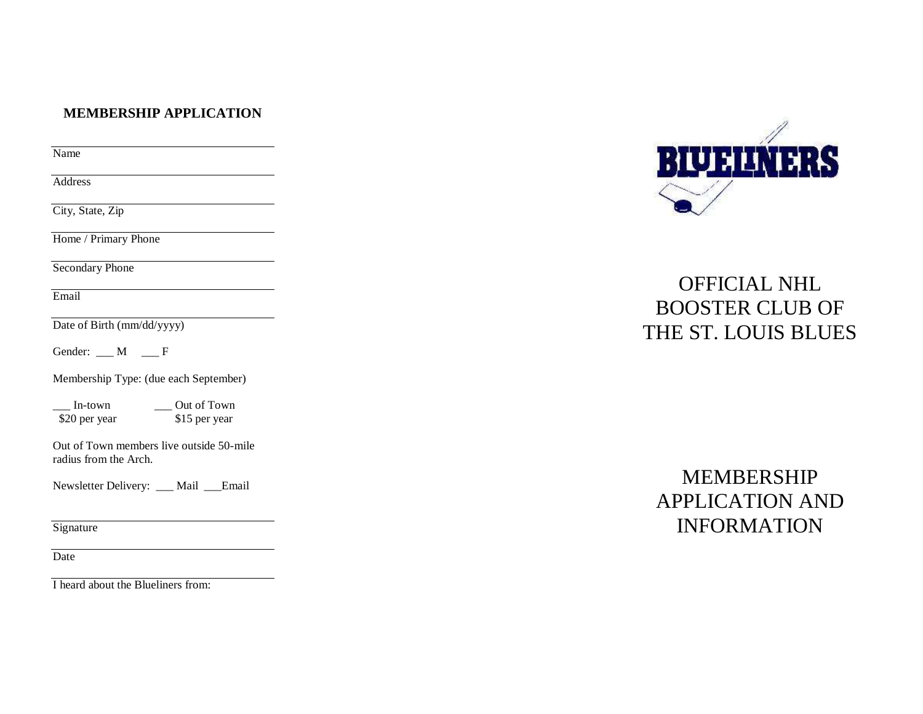#### **MEMBERSHIP APPLICATION**

Name

Address

City, State, Zip

Home / Primary Phone

Secondary Phone

Email

Date of Birth (mm/dd/yyyy)

Gender:  $M \t F$ 

Membership Type: (due each September)

\_\_\_ In-town \_\_\_ Out of Town \$20 per year

Out of Town members live outside 50-mile radius from the Arch.

Newsletter Delivery: \_\_\_ Mail \_\_\_Email

**Signature** 

Date

I heard about the Blueliners from:



# OFFICIAL NHL BOOSTER CLUB OF THE ST. LOUIS BLUES

# MEMBERSHIP APPLICATION AND INFORMATION